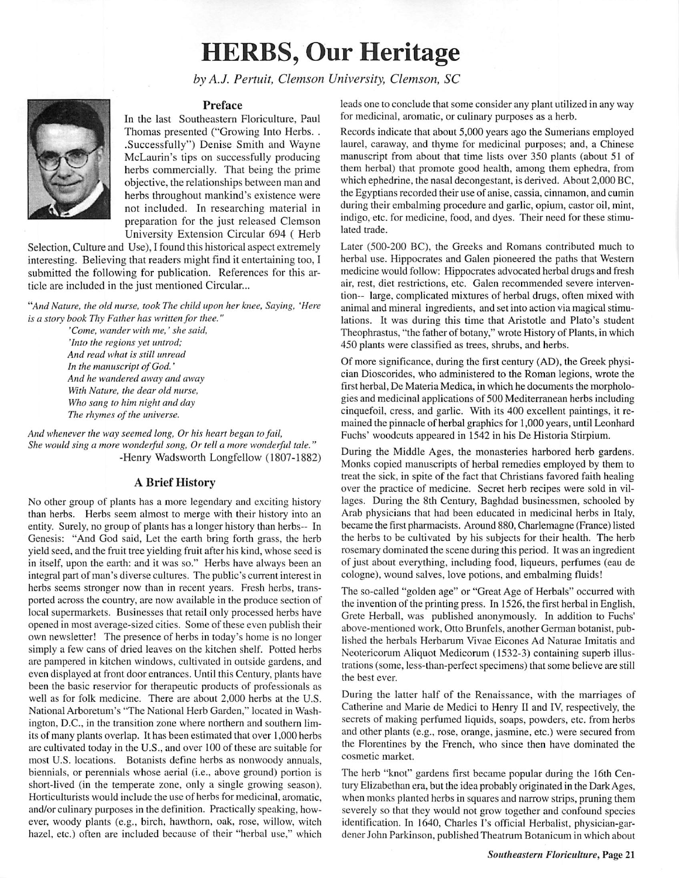## *HERBS, Our Heritage*

**by A.J. Pertuit, Clemson University, Clemson, SC**



## *Preface*

In the last Southeastern Floriculture, Paul Thomas presented ("Growing Into Herbs. . .Successfully") Denise Smith and Wayne McLaurin's tips on successfully producing herbs commercially. That being the prime objective, the relationships between man and herbs throughout mankind's existence were not included. In researching material in preparation for the just released Clemson University Extension Circular 694 ( Herb

Selection, Culture and Use), I found this historical aspect extremely interesting. Believing that readers might find it entertaining too, I submitted the following for publication. References for this ar ticle are included in the just mentioned Circular...

**"And Nature, the old nurse, took The child upon her knee, Saying, 'Here** is a story book Thy Father has written for thee."

> **'Come, wander with me,' she said, 'Into the regions yet untrod; And read what is still unread In the manuscript ofGod.' And he wandered away and away With Nature, the dear old nurse. Who sang to him night and day** The rhymes of the universe.

And whenever the way seemed long, Or his heart began to fail, **She would sing a more wonderful song, Or tell a more wonderful tale."** -Henry Wadsworth Longfellow (1807-1882)

## *A Brief History*

No other group of plants has a more legendary and exciting history than herbs. Herbs seem almost to merge with their history into an entity. Surely, no group of plants has a longer history than herbs-- In Genesis: "And God said, Let the earth bring forth grass, the herb yield seed, and the fruit tree yielding fruit after his kind, whose seed is in itself, upon the earth: and it was so." Herbs have always been an integral part of man's diverse cultures. The public's current interest in herbs seems stronger now than in recent years. Fresh herbs, trans ported across the country, are now available in the produce section of local supermarkets. Businesses that retail only processed herbs have opened in most average-sized cities. Some of these even publish their own newsletter! The presence of herbs in today's home is no longer simply a few cans of dried leaves on the kitchen shelf. Potted herbs are pampered in kitchen windows, cultivated in outside gardens, and even displayed at front door entrances. Until this Century, plants have been the basic reservior for therapeutic products of professionals as well as for folk medicine. There are about 2,000 herbs at the U.S. National Arboretum's "The National Herb Garden," located in Wash ington, D.C., in the transition zone where northern and southern lim its of many plants overlap. It has been estimated that over 1,000 herbs are cultivated today in the U.S., and over 100 of these are suitable for most U.S. locations. Botanists define herbs as nonwoody annuals, biennials, or perennials whose aerial (i.e., above ground) portion is short-lived (in the temperate zone, only a single growing season). Horticulturists would include the use of herbs for medicinal, aromatic, and/or culinary purposes in the definition. Practically speaking, how ever, woody plants (e.g., birch, hawthorn, oak, rose, willow, witch hazel, etc.) often are included because of their "herbal use," which

leads one to conclude that some consider any plant utilized in any way for medicinal, aromatic, or culinary purposes as a herb.

Records indicate that about 5,000 years ago the Sumerians employed laurel, caraway, and thyme for medicinal purposes; and, a Chinese manuscript from about that time lists over 350 plants (about 51 of them herbal) that promote good health, among them ephedra, from which ephedrine, the nasal decongestant, is derived. About 2,000 BC, the Egyptians recorded their use of anise, cassia, cinnamon, and cumin during their embalming procedure and garlic, opium, castor oil, mint, indigo, etc. for medicine, food, and dyes. Their need for these stimu lated trade.

Later (500-200 BC), the Greeks and Romans contributed much to herbal use. Hippocrates and Galen pioneered the paths that Western medicine would follow: Hippocrates advocated herbal drugs and fresh air, rest, diet restrictions, etc. Galen recommended severe interven tion— large, complicated mixtures of herbal drugs, often mixed with animal and mineral ingredients, and set into action via magical stimu lations. It was during this time that Aristotle and Plato's student Theophrastus, "the father of botany," wrote History of Plants, in which 450 plants were classified as trees, shrubs, and herbs.

Of more significance, during the first century (AD), the Greek physi cian Dioscorides, who administered to the Roman legions, wrote the first herbal, De Materia Medica, in which he documents the morphologies and medicinal applications of 500 Mediterranean herbs including cinquefoil, cress, and garlic. With its 400 excellent paintings, it re mained the pinnacle of herbal graphics for 1,000 years, until Leonhard Fuchs' woodcuts appeared in 1542 in his De Historia Stirpium.

During the Middle Ages, the monasteries harbored herb gardens. Monks copied manuscripts of herbal remedies employed by them to treat the sick, in spite of the fact that Christians favored faith healing over the practice of medicine. Secret herb recipes were sold in vil lages. During the 8th Century, Baghdad businessmen, schooled by Arab physicians that had been educated in medicinal herbs in Italy, became the first pharmacists. Around 880, Charlemagne (France) listed the herbs to be cultivated by his subjects for their health. The herb rosemary dominated the scene during this period. It was an ingredient of just about everything, including food, liqueurs, perfumes (eau de cologne), wound salves, love potions, and embalming fluids!

The so-called "golden age" or "Great Age of Herbals" occurred with the invention of the printing press. In 1526, the first herbal in English, Grete Herball. was published anonymously. In addition to Fuchs' above-mentioned work. Otto Brunfcls, another German botanist, pub lished the herbals Herbarum Vivae Eicones Ad Naturae Imitatis and Neotericorum Aliquot Medicorum (1532-3) containing superb illus trations (some, less-than-perfect specimens) that some believe are still the best ever.

During the latter half of the Renaissance, with the marriages of Catherine and Marie de Medici to Henry II and IV. respectively, the secrets of making perfumed liquids, soaps, powders, etc. from herbs and other plants (e.g., rose, orange, jasmine, etc.) were secured from the Florentines by the French, who since then have dominated the cosmetic market.

The herb "knot" gardens first became popular during the 16th Cen tury Elizabethan era, but the idea probably originated in the Dark Ages, when monks planted herbs in squares and narrow strips, pruning them severely so that they would not grow together and confound species identification. In 1640, Charles I's official Herbalist, physician-gardener John Parkinson, published Theatrum Botanicum in which about